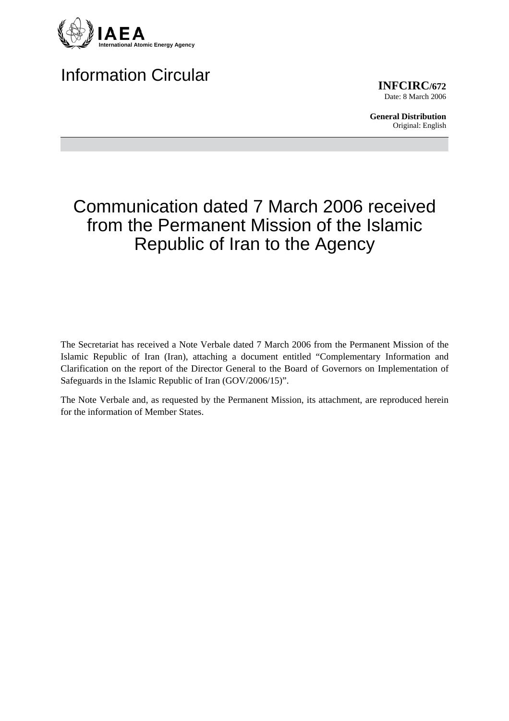

## Information Circular

**INFCIRC/672** Date: 8 March 2006

**General Distribution** Original: English

# Communication dated 7 March 2006 received from the Permanent Mission of the Islamic Republic of Iran to the Agency

The Secretariat has received a Note Verbale dated 7 March 2006 from the Permanent Mission of the Islamic Republic of Iran (Iran), attaching a document entitled "Complementary Information and Clarification on the report of the Director General to the Board of Governors on Implementation of Safeguards in the Islamic Republic of Iran (GOV/2006/15)".

The Note Verbale and, as requested by the Permanent Mission, its attachment, are reproduced herein for the information of Member States.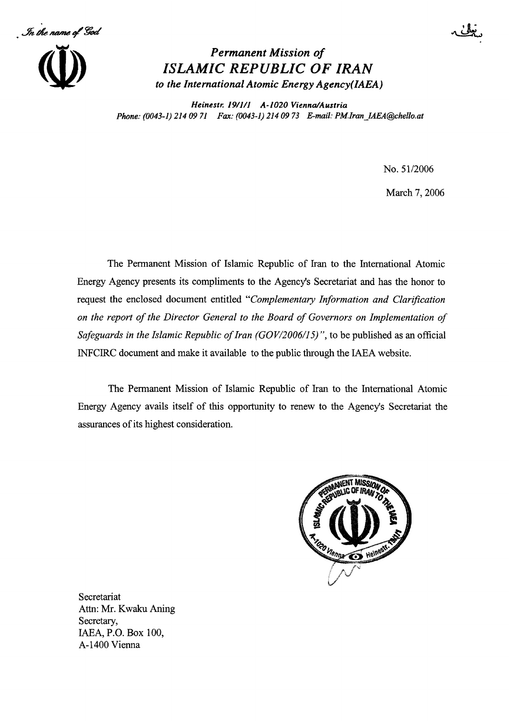In the name of God



## **Permanent Mission of ISLAMIC REPUBLIC OF IRAN** to the International Atomic Energy Agency(IAEA)

Heinestr. 19/1/1 A-1020 Vienna/Austria Phone: (0043-1) 214 09 71 Fax: (0043-1) 214 09 73 E-mail: PM.Iran IAEA@chello.at

No. 51/2006

March 7, 2006

The Permanent Mission of Islamic Republic of Iran to the International Atomic Energy Agency presents its compliments to the Agency's Secretariat and has the honor to request the enclosed document entitled "Complementary Information and Clarification on the report of the Director General to the Board of Governors on Implementation of Safeguards in the Islamic Republic of Iran  $(GOV/2006/15)$ ", to be published as an official INFCIRC document and make it available to the public through the IAEA website.

The Permanent Mission of Islamic Republic of Iran to the International Atomic Energy Agency avails itself of this opportunity to renew to the Agency's Secretariat the assurances of its highest consideration.



Secretariat Attn: Mr. Kwaku Aning Secretary, IAEA, P.O. Box 100, A-1400 Vienna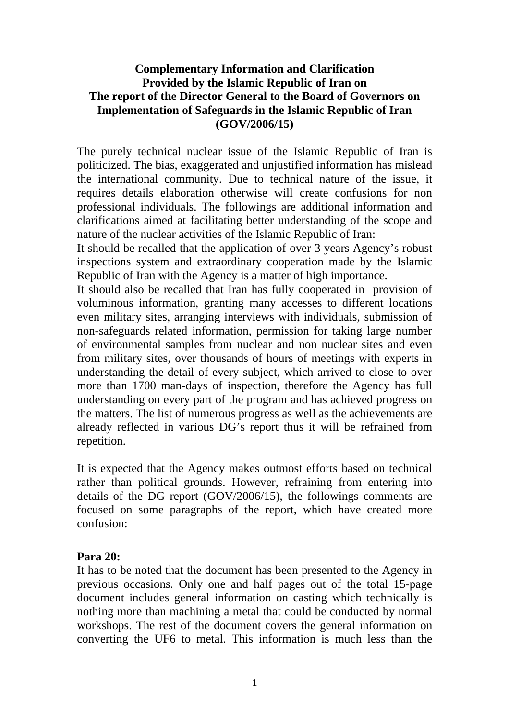#### **Complementary Information and Clarification Provided by the Islamic Republic of Iran on The report of the Director General to the Board of Governors on Implementation of Safeguards in the Islamic Republic of Iran (GOV/2006/15)**

The purely technical nuclear issue of the Islamic Republic of Iran is politicized. The bias, exaggerated and unjustified information has mislead the international community. Due to technical nature of the issue, it requires details elaboration otherwise will create confusions for non professional individuals. The followings are additional information and clarifications aimed at facilitating better understanding of the scope and nature of the nuclear activities of the Islamic Republic of Iran:

It should be recalled that the application of over 3 years Agency's robust inspections system and extraordinary cooperation made by the Islamic Republic of Iran with the Agency is a matter of high importance.

It should also be recalled that Iran has fully cooperated in provision of voluminous information, granting many accesses to different locations even military sites, arranging interviews with individuals, submission of non-safeguards related information, permission for taking large number of environmental samples from nuclear and non nuclear sites and even from military sites, over thousands of hours of meetings with experts in understanding the detail of every subject, which arrived to close to over more than 1700 man-days of inspection, therefore the Agency has full understanding on every part of the program and has achieved progress on the matters. The list of numerous progress as well as the achievements are already reflected in various DG's report thus it will be refrained from repetition.

It is expected that the Agency makes outmost efforts based on technical rather than political grounds. However, refraining from entering into details of the DG report (GOV/2006/15), the followings comments are focused on some paragraphs of the report, which have created more confusion:

#### **Para 20:**

It has to be noted that the document has been presented to the Agency in previous occasions. Only one and half pages out of the total 15-page document includes general information on casting which technically is nothing more than machining a metal that could be conducted by normal workshops. The rest of the document covers the general information on converting the UF6 to metal. This information is much less than the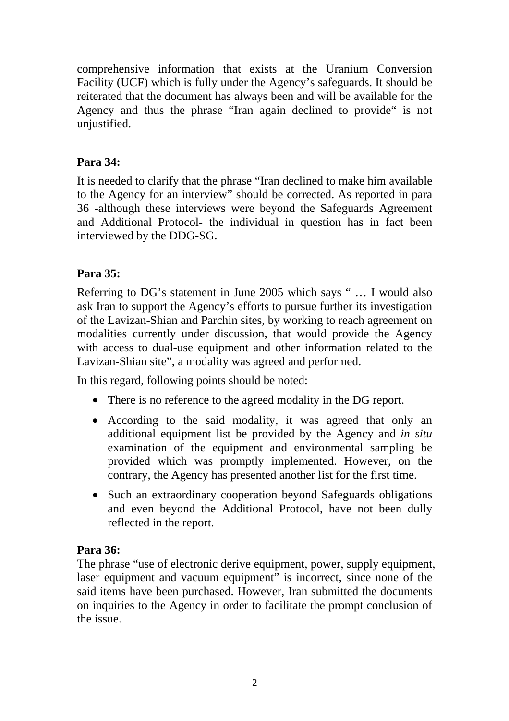comprehensive information that exists at the Uranium Conversion Facility (UCF) which is fully under the Agency's safeguards. It should be reiterated that the document has always been and will be available for the Agency and thus the phrase "Iran again declined to provide" is not unjustified.

## **Para 34:**

It is needed to clarify that the phrase "Iran declined to make him available to the Agency for an interview" should be corrected. As reported in para 36 -although these interviews were beyond the Safeguards Agreement and Additional Protocol- the individual in question has in fact been interviewed by the DDG-SG.

## **Para 35:**

Referring to DG's statement in June 2005 which says " … I would also ask Iran to support the Agency's efforts to pursue further its investigation of the Lavizan-Shian and Parchin sites, by working to reach agreement on modalities currently under discussion, that would provide the Agency with access to dual-use equipment and other information related to the Lavizan-Shian site", a modality was agreed and performed.

In this regard, following points should be noted:

- There is no reference to the agreed modality in the DG report.
- According to the said modality, it was agreed that only an additional equipment list be provided by the Agency and *in situ* examination of the equipment and environmental sampling be provided which was promptly implemented. However, on the contrary, the Agency has presented another list for the first time.
- Such an extraordinary cooperation beyond Safeguards obligations and even beyond the Additional Protocol, have not been dully reflected in the report.

## **Para 36:**

The phrase "use of electronic derive equipment, power, supply equipment, laser equipment and vacuum equipment" is incorrect, since none of the said items have been purchased. However, Iran submitted the documents on inquiries to the Agency in order to facilitate the prompt conclusion of the issue.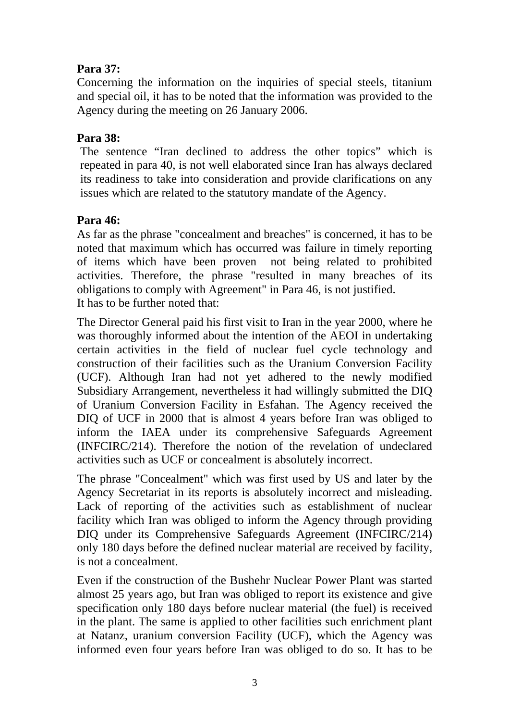## **Para 37:**

Concerning the information on the inquiries of special steels, titanium and special oil, it has to be noted that the information was provided to the Agency during the meeting on 26 January 2006.

#### **Para 38:**

The sentence "Iran declined to address the other topics" which is repeated in para 40, is not well elaborated since Iran has always declared its readiness to take into consideration and provide clarifications on any issues which are related to the statutory mandate of the Agency.

#### **Para 46:**

As far as the phrase "concealment and breaches" is concerned, it has to be noted that maximum which has occurred was failure in timely reporting of items which have been proven not being related to prohibited activities. Therefore, the phrase "resulted in many breaches of its obligations to comply with Agreement" in Para 46, is not justified. It has to be further noted that:

The Director General paid his first visit to Iran in the year 2000, where he was thoroughly informed about the intention of the AEOI in undertaking certain activities in the field of nuclear fuel cycle technology and construction of their facilities such as the Uranium Conversion Facility (UCF). Although Iran had not yet adhered to the newly modified Subsidiary Arrangement, nevertheless it had willingly submitted the DIQ of Uranium Conversion Facility in Esfahan. The Agency received the DIQ of UCF in 2000 that is almost 4 years before Iran was obliged to inform the IAEA under its comprehensive Safeguards Agreement (INFCIRC/214). Therefore the notion of the revelation of undeclared activities such as UCF or concealment is absolutely incorrect.

The phrase "Concealment" which was first used by US and later by the Agency Secretariat in its reports is absolutely incorrect and misleading. Lack of reporting of the activities such as establishment of nuclear facility which Iran was obliged to inform the Agency through providing DIQ under its Comprehensive Safeguards Agreement (INFCIRC/214) only 180 days before the defined nuclear material are received by facility, is not a concealment.

Even if the construction of the Bushehr Nuclear Power Plant was started almost 25 years ago, but Iran was obliged to report its existence and give specification only 180 days before nuclear material (the fuel) is received in the plant. The same is applied to other facilities such enrichment plant at Natanz, uranium conversion Facility (UCF), which the Agency was informed even four years before Iran was obliged to do so. It has to be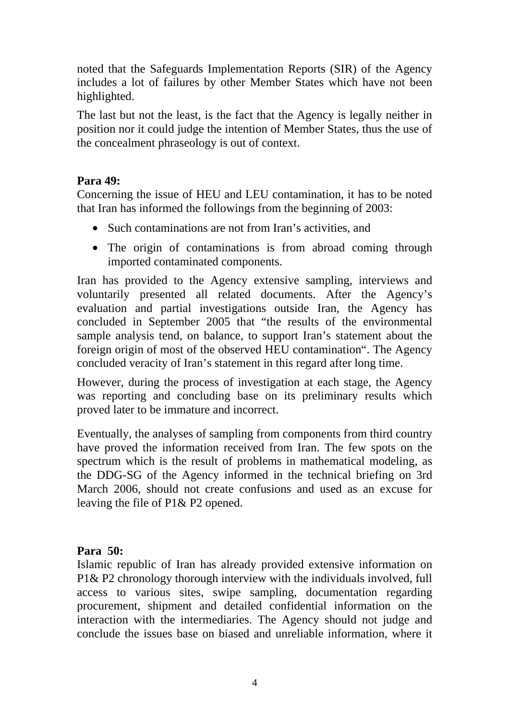noted that the Safeguards Implementation Reports (SIR) of the Agency includes a lot of failures by other Member States which have not been highlighted.

The last but not the least, is the fact that the Agency is legally neither in position nor it could judge the intention of Member States, thus the use of the concealment phraseology is out of context.

#### **Para 49:**

Concerning the issue of HEU and LEU contamination, it has to be noted that Iran has informed the followings from the beginning of 2003:

- Such contaminations are not from Iran's activities, and
- The origin of contaminations is from abroad coming through imported contaminated components.

Iran has provided to the Agency extensive sampling, interviews and voluntarily presented all related documents. After the Agency's evaluation and partial investigations outside Iran, the Agency has concluded in September 2005 that "the results of the environmental sample analysis tend, on balance, to support Iran's statement about the foreign origin of most of the observed HEU contamination". The Agency concluded veracity of Iran's statement in this regard after long time.

However, during the process of investigation at each stage, the Agency was reporting and concluding base on its preliminary results which proved later to be immature and incorrect.

Eventually, the analyses of sampling from components from third country have proved the information received from Iran. The few spots on the spectrum which is the result of problems in mathematical modeling, as the DDG-SG of the Agency informed in the technical briefing on 3rd March 2006, should not create confusions and used as an excuse for leaving the file of P1& P2 opened.

## **Para 50:**

Islamic republic of Iran has already provided extensive information on P1& P2 chronology thorough interview with the individuals involved, full access to various sites, swipe sampling, documentation regarding procurement, shipment and detailed confidential information on the interaction with the intermediaries. The Agency should not judge and conclude the issues base on biased and unreliable information, where it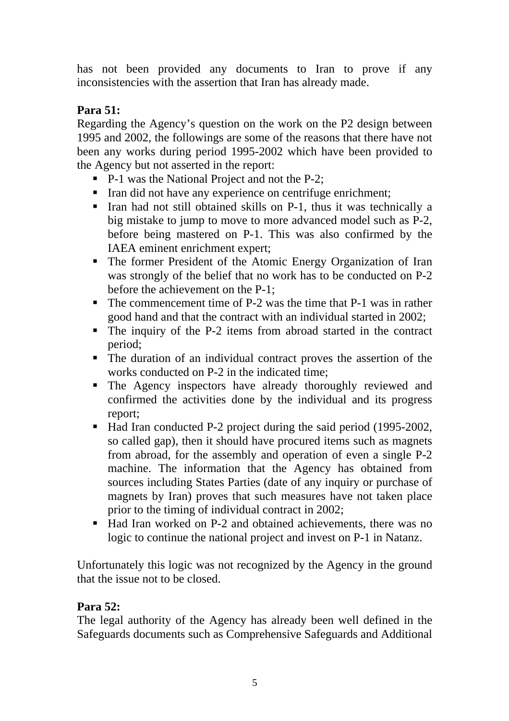has not been provided any documents to Iran to prove if any inconsistencies with the assertion that Iran has already made.

## **Para 51:**

Regarding the Agency's question on the work on the P2 design between 1995 and 2002, the followings are some of the reasons that there have not been any works during period 1995-2002 which have been provided to the Agency but not asserted in the report:

- P-1 was the National Project and not the P-2;
- Iran did not have any experience on centrifuge enrichment;
- Iran had not still obtained skills on P-1, thus it was technically a big mistake to jump to move to more advanced model such as P-2, before being mastered on P-1. This was also confirmed by the IAEA eminent enrichment expert;
- The former President of the Atomic Energy Organization of Iran was strongly of the belief that no work has to be conducted on P-2 before the achievement on the P-1;
- The commencement time of P-2 was the time that P-1 was in rather good hand and that the contract with an individual started in 2002;
- The inquiry of the P-2 items from abroad started in the contract period;
- The duration of an individual contract proves the assertion of the works conducted on P-2 in the indicated time;
- The Agency inspectors have already thoroughly reviewed and confirmed the activities done by the individual and its progress report;
- Had Iran conducted P-2 project during the said period (1995-2002, so called gap), then it should have procured items such as magnets from abroad, for the assembly and operation of even a single P-2 machine. The information that the Agency has obtained from sources including States Parties (date of any inquiry or purchase of magnets by Iran) proves that such measures have not taken place prior to the timing of individual contract in 2002;
- Had Iran worked on P-2 and obtained achievements, there was no logic to continue the national project and invest on P-1 in Natanz.

Unfortunately this logic was not recognized by the Agency in the ground that the issue not to be closed.

## **Para 52:**

The legal authority of the Agency has already been well defined in the Safeguards documents such as Comprehensive Safeguards and Additional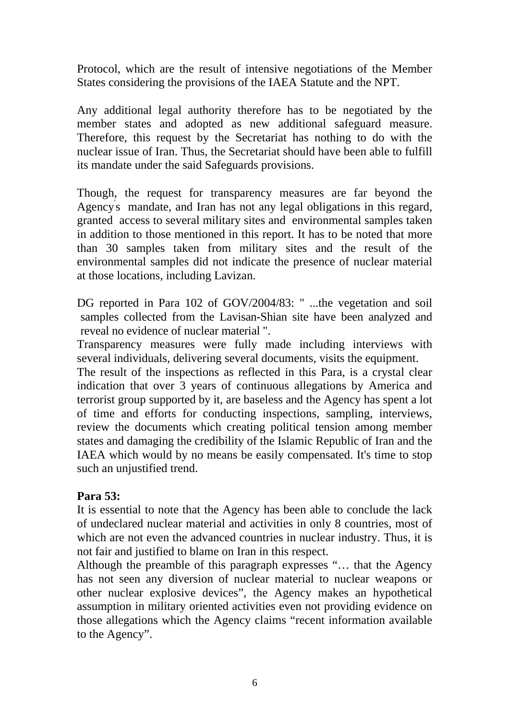Protocol, which are the result of intensive negotiations of the Member States considering the provisions of the IAEA Statute and the NPT.

Any additional legal authority therefore has to be negotiated by the member states and adopted as new additional safeguard measure. Therefore, this request by the Secretariat has nothing to do with the nuclear issue of Iran. Thus, the Secretariat should have been able to fulfill its mandate under the said Safeguards provisions.

Though, the request for transparency measures are far beyond the Agency' s mandate, and Iran has not any legal obligations in this regard, granted access to several military sites and environmental samples taken in addition to those mentioned in this report. It has to be noted that more than 30 samples taken from military sites and the result of the environmental samples did not indicate the presence of nuclear material at those locations, including Lavizan.

DG reported in Para 102 of GOV/2004/83: " ...the vegetation and soil samples collected from the Lavisan-Shian site have been analyzed and reveal no evidence of nuclear material ".

Transparency measures were fully made including interviews with several individuals, delivering several documents, visits the equipment.

The result of the inspections as reflected in this Para, is a crystal clear indication that over 3 years of continuous allegations by America and terrorist group supported by it, are baseless and the Agency has spent a lot of time and efforts for conducting inspections, sampling, interviews, review the documents which creating political tension among member states and damaging the credibility of the Islamic Republic of Iran and the IAEA which would by no means be easily compensated. It's time to stop such an unjustified trend.

#### **Para 53:**

It is essential to note that the Agency has been able to conclude the lack of undeclared nuclear material and activities in only 8 countries, most of which are not even the advanced countries in nuclear industry. Thus, it is not fair and justified to blame on Iran in this respect.

Although the preamble of this paragraph expresses "… that the Agency has not seen any diversion of nuclear material to nuclear weapons or other nuclear explosive devices", the Agency makes an hypothetical assumption in military oriented activities even not providing evidence on those allegations which the Agency claims "recent information available to the Agency".